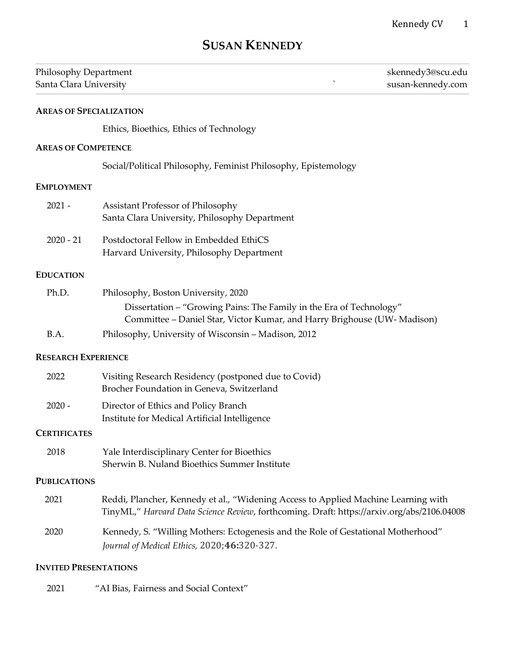# **SUSAN KENNEDY**

| Philosophy Department<br>$\lambda$<br>Santa Clara University |                                                                                     | skennedy3@scu.edu<br>susan-kennedy.com |
|--------------------------------------------------------------|-------------------------------------------------------------------------------------|----------------------------------------|
| <b>AREAS OF SPECIALIZATION</b>                               |                                                                                     |                                        |
|                                                              | Ethics, Bioethics, Ethics of Technology                                             |                                        |
| <b>AREAS OF COMPETENCE</b>                                   |                                                                                     |                                        |
|                                                              | Social/Political Philosophy, Feminist Philosophy, Epistemology                      |                                        |
| <b>EMPLOYMENT</b>                                            |                                                                                     |                                        |
| $2021 -$                                                     | Assistant Professor of Philosophy<br>Santa Clara University, Philosophy Department  |                                        |
| $2020 - 21$                                                  | Postdoctoral Fellow in Embedded EthiCS<br>Harvard University, Philosophy Department |                                        |
| <b>EDUCATION</b>                                             |                                                                                     |                                        |
| Ph.D.                                                        | Philosophy, Boston University, 2020                                                 |                                        |

| . | $1.111030$ P $1.1$ $9.8011$ $0.111$ $0.11$ $0.21$ $0.2020$               |
|---|--------------------------------------------------------------------------|
|   | Dissertation – "Growing Pains: The Family in the Era of Technology"      |
|   | Committee – Daniel Star, Victor Kumar, and Harry Brighouse (UW- Madison) |
|   |                                                                          |

B.A. Philosophy, University of Wisconsin – Madison, 2012

#### **RESEARCH EXPERIENCE**

| 2022     | Visiting Research Residency (postponed due to Covid)<br>Brocher Foundation in Geneva, Switzerland |
|----------|---------------------------------------------------------------------------------------------------|
| $2020 -$ | Director of Ethics and Policy Branch<br>Institute for Medical Artificial Intelligence             |

#### **CERTIFICATES**

| 2018 | Yale Interdisciplinary Center for Bioethics  |
|------|----------------------------------------------|
|      | Sherwin B. Nuland Bioethics Summer Institute |

#### **PUBLICATIONS**

| 2021 | Reddi, Plancher, Kennedy et al., "Widening Access to Applied Machine Learning with         |
|------|--------------------------------------------------------------------------------------------|
|      | TinyML," Harvard Data Science Review, forthcoming. Draft: https://arxiv.org/abs/2106.04008 |

 2020 Kennedy, S. "Willing Mothers: Ectogenesis and the Role of Gestational Motherhood" *Journal of Medical Ethics,* 2020;**46:**320-327.

#### **INVITED PRESENTATIONS**

2021 "AI Bias, Fairness and Social Context"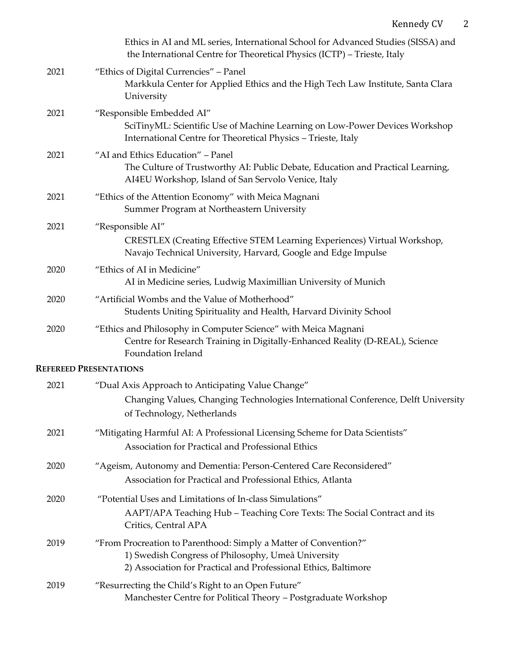|      | Ethics in AI and ML series, International School for Advanced Studies (SISSA) and<br>the International Centre for Theoretical Physics (ICTP) - Trieste, Italy                             |
|------|-------------------------------------------------------------------------------------------------------------------------------------------------------------------------------------------|
| 2021 | "Ethics of Digital Currencies" - Panel<br>Markkula Center for Applied Ethics and the High Tech Law Institute, Santa Clara<br>University                                                   |
| 2021 | "Responsible Embedded AI"<br>SciTinyML: Scientific Use of Machine Learning on Low-Power Devices Workshop<br>International Centre for Theoretical Physics - Trieste, Italy                 |
| 2021 | "AI and Ethics Education" - Panel<br>The Culture of Trustworthy AI: Public Debate, Education and Practical Learning,<br>AI4EU Workshop, Island of San Servolo Venice, Italy               |
| 2021 | "Ethics of the Attention Economy" with Meica Magnani<br>Summer Program at Northeastern University                                                                                         |
| 2021 | "Responsible AI"<br>CRESTLEX (Creating Effective STEM Learning Experiences) Virtual Workshop,<br>Navajo Technical University, Harvard, Google and Edge Impulse                            |
| 2020 | "Ethics of AI in Medicine"<br>AI in Medicine series, Ludwig Maximillian University of Munich                                                                                              |
| 2020 | "Artificial Wombs and the Value of Motherhood"<br>Students Uniting Spirituality and Health, Harvard Divinity School                                                                       |
| 2020 | "Ethics and Philosophy in Computer Science" with Meica Magnani<br>Centre for Research Training in Digitally-Enhanced Reality (D-REAL), Science<br>Foundation Ireland                      |
|      | <b>REFEREED PRESENTATIONS</b>                                                                                                                                                             |
| 2021 | "Dual Axis Approach to Anticipating Value Change"<br>Changing Values, Changing Technologies International Conference, Delft University<br>of Technology, Netherlands                      |
| 2021 | "Mitigating Harmful AI: A Professional Licensing Scheme for Data Scientists"<br>Association for Practical and Professional Ethics                                                         |
| 2020 | "Ageism, Autonomy and Dementia: Person-Centered Care Reconsidered"<br>Association for Practical and Professional Ethics, Atlanta                                                          |
| 2020 | "Potential Uses and Limitations of In-class Simulations"<br>AAPT/APA Teaching Hub - Teaching Core Texts: The Social Contract and its<br>Critics, Central APA                              |
| 2019 | "From Procreation to Parenthood: Simply a Matter of Convention?"<br>1) Swedish Congress of Philosophy, Umeå University<br>2) Association for Practical and Professional Ethics, Baltimore |
| 2019 | "Resurrecting the Child's Right to an Open Future"<br>Manchester Centre for Political Theory - Postgraduate Workshop                                                                      |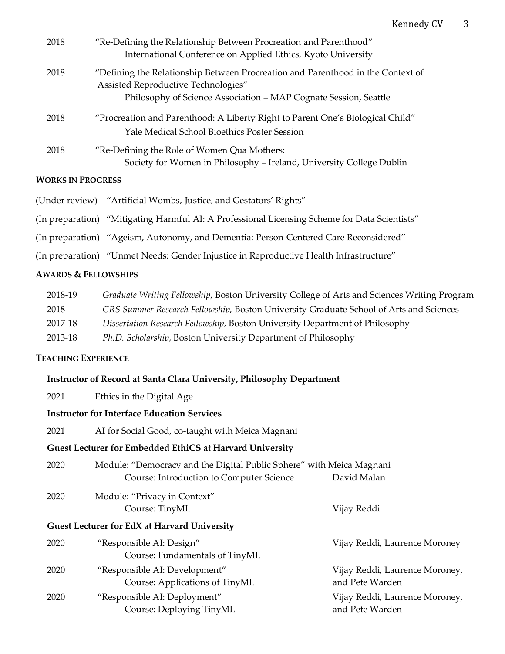| 2018 | "Re-Defining the Relationship Between Procreation and Parenthood"<br>International Conference on Applied Ethics, Kyoto University                                                          |
|------|--------------------------------------------------------------------------------------------------------------------------------------------------------------------------------------------|
| 2018 | "Defining the Relationship Between Procreation and Parenthood in the Context of<br>Assisted Reproductive Technologies"<br>Philosophy of Science Association – MAP Cognate Session, Seattle |
| 2018 | "Procreation and Parenthood: A Liberty Right to Parent One's Biological Child"<br>Yale Medical School Bioethics Poster Session                                                             |
| 2018 | "Re-Defining the Role of Women Qua Mothers:<br>Society for Women in Philosophy - Ireland, University College Dublin                                                                        |

### **WORKS IN PROGRESS**

- (Under review) "Artificial Wombs, Justice, and Gestators' Rights"
- (In preparation) "Mitigating Harmful AI: A Professional Licensing Scheme for Data Scientists"
- (In preparation) "Ageism, Autonomy, and Dementia: Person-Centered Care Reconsidered"
- (In preparation) "Unmet Needs: Gender Injustice in Reproductive Health Infrastructure"

### **AWARDS & FELLOWSHIPS**

| 2018-19 | Graduate Writing Fellowship, Boston University College of Arts and Sciences Writing Program |
|---------|---------------------------------------------------------------------------------------------|
| 2018    | GRS Summer Research Fellowship, Boston University Graduate School of Arts and Sciences      |
| 2017-18 | Dissertation Research Fellowship, Boston University Department of Philosophy                |
| 2013-18 | Ph.D. Scholarship, Boston University Department of Philosophy                               |

#### **TEACHING EXPERIENCE**

#### **Instructor of Record at Santa Clara University, Philosophy Department**

2021 Ethics in the Digital Age

# **Instructor for Interface Education Services**

| 2021 | AI for Social Good, co-taught with Meica Magnani |  |  |
|------|--------------------------------------------------|--|--|
|------|--------------------------------------------------|--|--|

#### **Guest Lecturer for Embedded EthiCS at Harvard University**

| 2020 | Module: "Democracy and the Digital Public Sphere" with Meica Magnani |             |
|------|----------------------------------------------------------------------|-------------|
|      | Course: Introduction to Computer Science                             | David Malan |

# 2020 Module: "Privacy in Context" Course: TinyML Vijay Reddi

| 2020 | "Responsible AI: Design"                                        | Vijay Reddi, Laurence Moroney                     |
|------|-----------------------------------------------------------------|---------------------------------------------------|
|      | Course: Fundamentals of TinyML                                  |                                                   |
| 2020 | "Responsible AI: Development"<br>Course: Applications of TinyML | Vijay Reddi, Laurence Moroney,<br>and Pete Warden |
| 2020 | "Responsible AI: Deployment"<br>Course: Deploying TinyML        | Vijay Reddi, Laurence Moroney,<br>and Pete Warden |